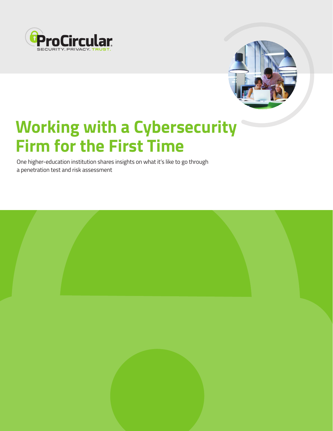



# **Working with a Cybersecurity Firm for the First Time**

One higher-education institution shares insights on what it's like to go through a penetration test and risk assessment

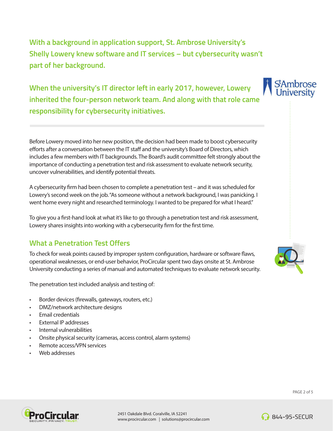**With a background in application support, St. Ambrose University's Shelly Lowery knew software and IT services – but cybersecurity wasn't part of her background.** 

**When the university's IT director left in early 2017, however, Lowery inherited the four-person network team. And along with that role came responsibility for cybersecurity initiatives.**

Before Lowery moved into her new position, the decision had been made to boost cybersecurity efforts after a conversation between the IT staff and the university's Board of Directors, which includes a few members with IT backgrounds. The Board's audit committee felt strongly about the importance of conducting a penetration test and risk assessment to evaluate network security, uncover vulnerabilities, and identify potential threats.

A cybersecurity firm had been chosen to complete a penetration test – and it was scheduled for Lowery's second week on the job. "As someone without a network background, I was panicking. I went home every night and researched terminology. I wanted to be prepared for what I heard."

To give you a first-hand look at what it's like to go through a penetration test and risk assessment, Lowery shares insights into working with a cybersecurity firm for the first time.

# **What a Penetration Test Offers**

To check for weak points caused by improper system configuration, hardware or software flaws, operational weaknesses, or end-user behavior, ProCircular spent two days onsite at St. Ambrose University conducting a series of manual and automated techniques to evaluate network security.

The penetration test included analysis and testing of:

- Border devices (firewalls, gateways, routers, etc.)
- DMZ/network architecture designs
- Email credentials
- External IP addresses
- Internal vulnerabilities
- Onsite physical security (cameras, access control, alarm systems)
- Remote access/VPN services
- Web addresses





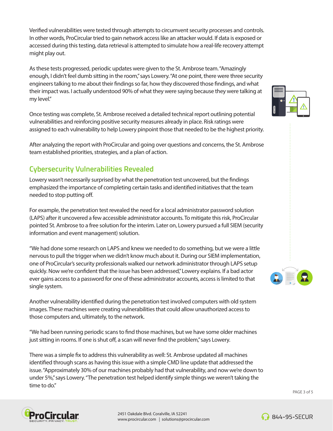Verified vulnerabilities were tested through attempts to circumvent security processes and controls. In other words, ProCircular tried to gain network access like an attacker would. If data is exposed or accessed during this testing, data retrieval is attempted to simulate how a real-life recovery attempt might play out.

As these tests progressed, periodic updates were given to the St. Ambrose team. "Amazingly enough, I didn't feel dumb sitting in the room," says Lowery. "At one point, there were three security engineers talking to me about their findings so far, how they discovered those findings, and what their impact was. I actually understood 90% of what they were saying because they were talking at my level."

Once testing was complete, St. Ambrose received a detailed technical report outlining potential vulnerabilities and reinforcing positive security measures already in place. Risk ratings were assigned to each vulnerability to help Lowery pinpoint those that needed to be the highest priority.

After analyzing the report with ProCircular and going over questions and concerns, the St. Ambrose team established priorities, strategies, and a plan of action.

# **Cybersecurity Vulnerabilities Revealed**

Lowery wasn't necessarily surprised by what the penetration test uncovered, but the findings emphasized the importance of completing certain tasks and identified initiatives that the team needed to stop putting off.

For example, the penetration test revealed the need for a local administrator password solution (LAPS) after it uncovered a few accessible administrator accounts. To mitigate this risk, ProCircular pointed St. Ambrose to a free solution for the interim. Later on, Lowery pursued a full SIEM (security information and event management) solution.

"We had done some research on LAPS and knew we needed to do something, but we were a little nervous to pull the trigger when we didn't know much about it. During our SIEM implementation, one of ProCircular's security professionals walked our network administrator through LAPS setup quickly. Now we're confident that the issue has been addressed," Lowery explains. If a bad actor ever gains access to a password for one of these administrator accounts, access is limited to that single system.

Another vulnerability identified during the penetration test involved computers with old system images. These machines were creating vulnerabilities that could allow unauthorized access to those computers and, ultimately, to the network.

"We had been running periodic scans to find those machines, but we have some older machines just sitting in rooms. If one is shut off, a scan will never find the problem," says Lowery.

There was a simple fix to address this vulnerability as well: St. Ambrose updated all machines identified through scans as having this issue with a simple CMD line update that addressed the issue. "Approximately 30% of our machines probably had that vulnerability, and now we're down to under 5%," says Lowery. "The penetration test helped identify simple things we weren't taking the time to do."







2451 Oakdale Blvd. Coralville, IA 52241 www.procircular.com | solutions@procircular.com



∩ 844-95-SECUR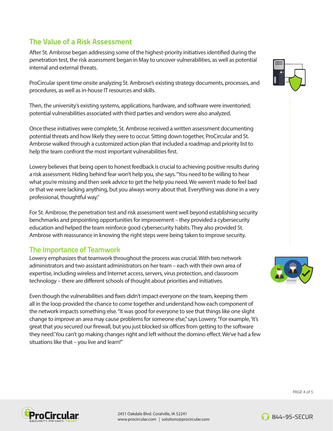## **The Value of a Risk Assessment**

After St. Ambrose began addressing some of the highest-priority initiatives identified during the penetration test, the risk assessment began in May to uncover vulnerabilities, as well as potential internal and external threats.

ProCircular spent time onsite analyzing St. Ambrose's existing strategy documents, processes, and procedures, as well as in-house IT resources and skills.

Then, the university's existing systems, applications, hardware, and software were inventoried; potential vulnerabilities associated with third parties and vendors were also analyzed.

Once these initiatives were complete, St. Ambrose received a written assessment documenting potential threats and how likely they were to occur. Sitting down together, ProCircular and St. Ambrose walked through a customized action plan that included a roadmap and priority list to help the team confront the most important vulnerabilities first.

Lowery believes that being open to honest feedback is crucial to achieving positive results during a risk assessment. Hiding behind fear won't help you, she says. "You need to be willing to hear what you're missing and then seek advice to get the help you need. We weren't made to feel bad or that we were lacking anything, but you always worry about that. Everything was done in a very professional, thoughtful way."

For St. Ambrose, the penetration test and risk assessment went well beyond establishing security benchmarks and pinpointing opportunities for improvement – they provided a cybersecurity education and helped the team reinforce good cybersecurity habits. They also provided St. Ambrose with reassurance in knowing the right steps were being taken to improve security.

#### **The Importance of Teamwork**

Lowery emphasizes that teamwork throughout the process was crucial. With two network administrators and two assistant administrators on her team – each with their own area of expertise, including wireless and Internet access, servers, virus protection, and classroom technology – there are different schools of thought about priorities and initiatives.

Even though the vulnerabilities and fixes didn't impact everyone on the team, keeping them all in the loop provided the chance to come together and understand how each component of the network impacts something else. "It was good for everyone to see that things like one slight change to improve an area may cause problems for someone else," says Lowery. "For example, 'It's great that you secured our firewall, but you just blocked six offices from getting to the software they need.' You can't go making changes right and left without the domino effect. We've had a few situations like that – you live and learn!"







2451 Oakdale Blvd. Coralville, IA 52241 www.procircular.com | solutions@procircular.com



**844-95-SECUR**